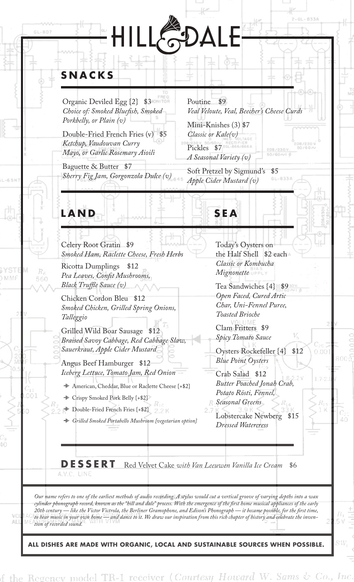# PAI ILL

# **SNACKS**

 $GL-8O7$ 

**LAND**

MMF

AL.

560

Organic Deviled Egg  $\{2\}$  \$3 *Choice of: Smoked Bluefish, Smoked Porkbelly, or Plain (v)*

Double-Fried French Fries (v) \$5 *Ketchup, Vaudouvan Curry Mayo, or Garlic Rosemary Aioili*

Baguette & Butter \$7 *Sherry Fig Jam, Gorgonzola Dulce (v)*

Poutine \$9 *Veal Veloute, Veal, Beecher's Cheese Curds*

Mini-Knishes (3) \$7 *Classic or Kale(v)* Pickles \$7 *A Seasonal Variety (v)* 

Soft Pretzel by Sigmund's \$5

*Apple Cider Mustard (v)*

**SEA**

Celery Root Gratin \$9 *Smoked Ham, Raclette Cheese, Fresh Herbs*

Ricotta Dumplings \$12 Pea Leaves, Confit Mushrooms, *Black Truffle Sauce (v)* 

Chicken Cordon Bleu \$12 *Smoked Chicken, Grilled Spring Onions, Talleggio*

Grilled Wild Boar Sausage *Braised Savoy Cabbage, Red Cabbage Slaw, Sauerkraut, Apple Cider Mustard*

Angus Beef Hamburger \$12 *Iceberg Lettuce, Tomato Jam, Red Onion*

American, Cheddar, Blue or Raclette Cheese {+\$2}

Crispy Smoked Pork Belly {+\$2}

Double-Fried French Fries {+\$2}

*Grilled Smoked Portabello Mushroom {vegetarian option}*

Today's Oysters on the Half Shell \$2 each *Classic or Kombucha Mignonette*

Tea Sandwiches {4} \$9 *Open Faced, Cured Artic Char, Uni-Fennel Puree, Toasted Brioche*

Clam Fritters \$9 *Spicy Tomato Sauce*

Oysters Rockefeller {4} \$12 *Blue Point Oysters*

 $0.00$ 

Crab Salad \$12 *Butter Poached Jonah Crab, Potato Rösti, Fennel, Seasonal Greens*

Lobstercake Newberg \$15 *Dressed Watercress*

**DESSERT** Red Velvet Cake *with Van Leeuwen Vanilla Ice Cream* \$6

*Our name refers to one of the earliest methods of audio recording. A stylus would cut a vertical groove of varying depths into a wax*  cylinder phonograph record, known as the "hill and dale" process. With the emergence of the first home musical appliances of the early<br>20th century — like the Victor Victrola, the Berliner Gramophone, and Edison's Phonogra — like the Victor Victrola, the Berliner Gramophone, and Edison's Phonograph — it became possible, for the first time, *to hear music in your own home — and dance to it. We draw our inspiration from this rich chapter of history and celebrate the invention of recorded sound.* 

**ALL DISHES ARE MADE WITH ORGANIC, LOCAL AND SUSTAINABLE SOURCES WHEN POSSIBLE.**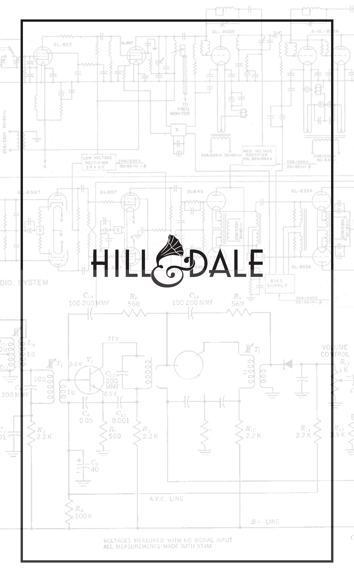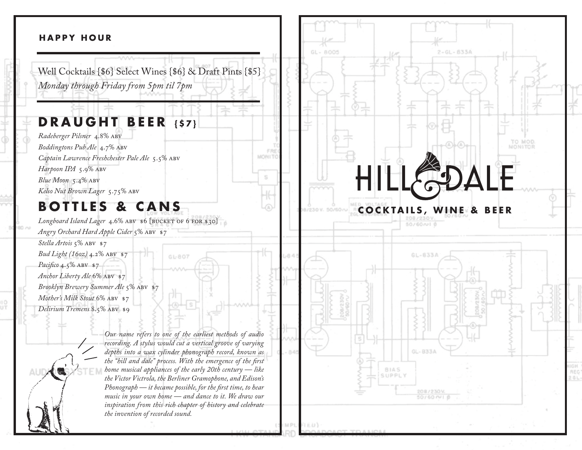